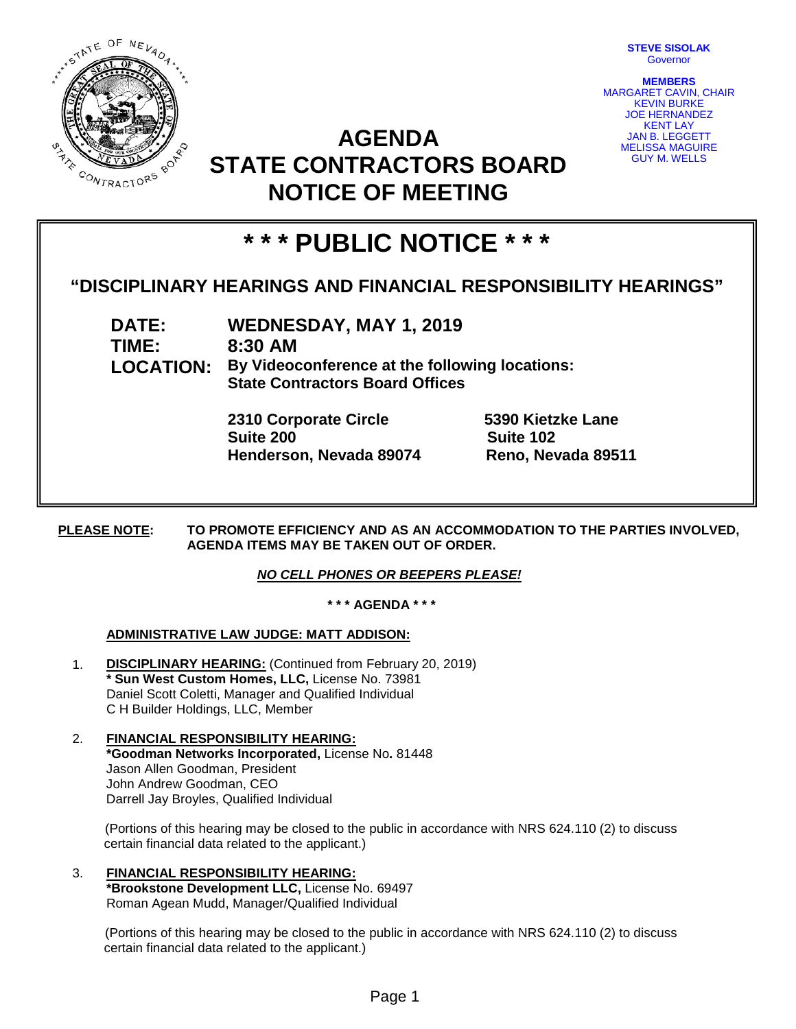

**STEVE SISOLAK** Governor

**MEMBERS** MARGARET CAVIN, CHAIR KEVIN BURKE JOE HERNANDEZ KENT LAY JAN B. LEGGETT MELISSA MAGUIRE GUY M. WELLS

## **AGENDA STATE CONTRACTORS BOARD NOTICE OF MEETING**

# **\* \* \* PUBLIC NOTICE \* \* \***

### **"DISCIPLINARY HEARINGS AND FINANCIAL RESPONSIBILITY HEARINGS"**

**DATE: WEDNESDAY, MAY 1, 2019 TIME: 8:30 AM LOCATION: By Videoconference at the following locations: State Contractors Board Offices**

> **2310 Corporate Circle 5390 Kietzke Lane Suite 200 Suite 102 Henderson, Nevada 89074 Reno, Nevada 89511**

**PLEASE NOTE: TO PROMOTE EFFICIENCY AND AS AN ACCOMMODATION TO THE PARTIES INVOLVED, AGENDA ITEMS MAY BE TAKEN OUT OF ORDER.**

#### *NO CELL PHONES OR BEEPERS PLEASE!*

**\* \* \* AGENDA \* \* \***

#### **ADMINISTRATIVE LAW JUDGE: MATT ADDISON:**

- 1. **DISCIPLINARY HEARING:** (Continued from February 20, 2019) **\* Sun West Custom Homes, LLC,** License No. 73981 Daniel Scott Coletti, Manager and Qualified Individual C H Builder Holdings, LLC, Member
- 2. **FINANCIAL RESPONSIBILITY HEARING: \*Goodman Networks Incorporated,** License No**.** 81448 Jason Allen Goodman, President John Andrew Goodman, CEO Darrell Jay Broyles, Qualified Individual

(Portions of this hearing may be closed to the public in accordance with NRS 624.110 (2) to discuss certain financial data related to the applicant.)

3. **FINANCIAL RESPONSIBILITY HEARING: \*Brookstone Development LLC,** License No. 69497 Roman Agean Mudd, Manager/Qualified Individual

(Portions of this hearing may be closed to the public in accordance with NRS 624.110 (2) to discuss certain financial data related to the applicant.)